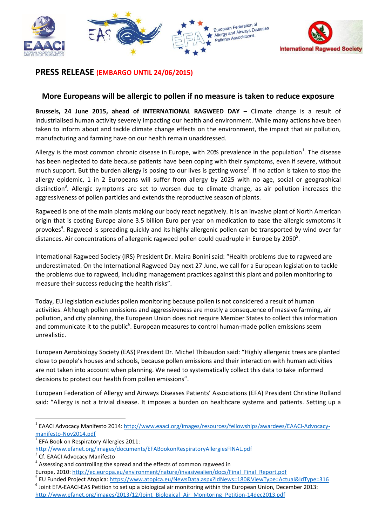



## **PRESS RELEASE (EMBARGO UNTIL 24/06/2015)**

## **More Europeans will be allergic to pollen if no measure is taken to reduce exposure**

**Brussels, 24 June 2015, ahead of INTERNATIONAL RAGWEED DAY** – Climate change is a result of industrialised human activity severely impacting our health and environment. While many actions have been taken to inform about and tackle climate change effects on the environment, the impact that air pollution, manufacturing and farming have on our health remain unaddressed.

Allergy is the most common chronic disease in Europe, with 20% prevalence in the population<sup>1</sup>. The disease has been neglected to date because patients have been coping with their symptoms, even if severe, without much support. But the burden allergy is posing to our lives is getting worse<sup>2</sup>. If no action is taken to stop the allergy epidemic, 1 in 2 Europeans will suffer from allergy by 2025 with no age, social or geographical distinction<sup>3</sup>. Allergic symptoms are set to worsen due to climate change, as air pollution increases the aggressiveness of pollen particles and extends the reproductive season of plants.

Ragweed is one of the main plants making our body react negatively. It is an invasive plant of North American origin that is costing Europe alone 3.5 billion Euro per year on medication to ease the allergic symptoms it provokes<sup>4</sup>. Ragweed is spreading quickly and its highly allergenic pollen can be transported by wind over far distances. Air concentrations of allergenic ragweed pollen could quadruple in Europe by 2050 $5$ .

International Ragweed Society (IRS) President Dr. Maira Bonini said: "Health problems due to ragweed are underestimated. On the International Ragweed Day next 27 June, we call for a European legislation to tackle the problems due to ragweed, including management practices against this plant and pollen monitoring to measure their success reducing the health risks".

Today, EU legislation excludes pollen monitoring because pollen is not considered a result of human activities. Although pollen emissions and aggressiveness are mostly a consequence of massive farming, air pollution, and city planning, the European Union does not require Member States to collect this information and communicate it to the public<sup>6</sup>. European measures to control human-made pollen emissions seem unrealistic.

European Aerobiology Society (EAS) President Dr. Michel Thibaudon said: "Highly allergenic trees are planted close to people's houses and schools, because pollen emissions and their interaction with human activities are not taken into account when planning. We need to systematically collect this data to take informed decisions to protect our health from pollen emissions".

European Federation of Allergy and Airways Diseases Patients' Associations (EFA) President Christine Rolland said: "Allergy is not a trivial disease. It imposes a burden on healthcare systems and patients. Setting up a

1

 $^6$  Joint EFA-EAACI-EAS Petition to set up a biological air monitoring within the European Union, December 2013: [http://www.efanet.org/images/2013/12/Joint\\_Biological\\_Air\\_Monitoring\\_Petition-14dec2013.pdf](http://www.efanet.org/images/2013/12/Joint_Biological_Air_Monitoring_Petition-14dec2013.pdf)

<sup>1</sup> EAACI Advocacy Manifesto 2014[: http://www.eaaci.org/images/resources/fellowships/awardees/EAACI-Advocacy](http://www.eaaci.org/images/resources/fellowships/awardees/EAACI-Advocacy-manifesto-Nov2014.pdf)[manifesto-Nov2014.pdf](http://www.eaaci.org/images/resources/fellowships/awardees/EAACI-Advocacy-manifesto-Nov2014.pdf)

<sup>2</sup> EFA Book on Respiratory Allergies 2011:

<http://www.efanet.org/images/documents/EFABookonRespiratoryAllergiesFINAL.pdf>

<sup>3</sup> Cf. EAACI Advocacy Manifesto

<sup>&</sup>lt;sup>4</sup> Assessing and controlling the spread and the effects of common ragweed in

Europe, 2010: [http://ec.europa.eu/environment/nature/invasivealien/docs/Final\\_Final\\_Report.pdf](http://ec.europa.eu/environment/nature/invasivealien/docs/Final_Final_Report.pdf)

<sup>5</sup> EU Funded Project Atopica[: https://www.atopica.eu/NewsData.aspx?IdNews=180&ViewType=Actual&IdType=316](https://www.atopica.eu/NewsData.aspx?IdNews=180&ViewType=Actual&IdType=316)